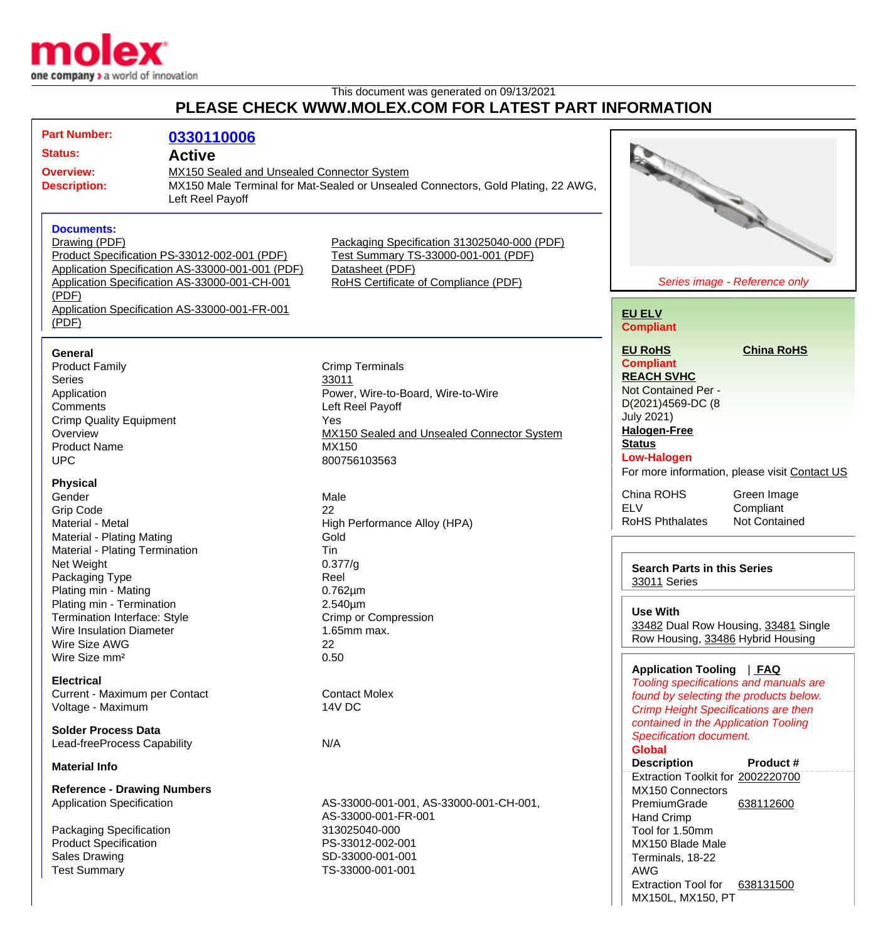

## This document was generated on 09/13/2021 **PLEASE CHECK WWW.MOLEX.COM FOR LATEST PART INFORMATION**

| <b>Part Number:</b><br><b>Status:</b><br><b>Overview:</b><br><b>Description:</b>                                                                                       | 0330110006<br><b>Active</b><br>MX150 Sealed and Unsealed Connector System<br>MX150 Male Terminal for Mat-Sealed or Unsealed Connectors, Gold Plating, 22 AWG,<br>Left Reel Payoff |                                                                                                                                                                         |                                                                                                                                                                                        |                                                                                  |
|------------------------------------------------------------------------------------------------------------------------------------------------------------------------|-----------------------------------------------------------------------------------------------------------------------------------------------------------------------------------|-------------------------------------------------------------------------------------------------------------------------------------------------------------------------|----------------------------------------------------------------------------------------------------------------------------------------------------------------------------------------|----------------------------------------------------------------------------------|
| <b>Documents:</b><br>Drawing (PDF)<br>Product Specification PS-33012-002-001 (PDF)<br>Application Specification AS-33000-001-CH-001<br>(PDF)                           | Application Specification AS-33000-001-001 (PDF)                                                                                                                                  | Packaging Specification 313025040-000 (PDF)<br>Test Summary TS-33000-001-001 (PDF)<br>Datasheet (PDF)<br>RoHS Certificate of Compliance (PDF)                           |                                                                                                                                                                                        | Series image - Reference only                                                    |
| Application Specification AS-33000-001-FR-001<br>(PDF)                                                                                                                 |                                                                                                                                                                                   |                                                                                                                                                                         | <b>EU ELV</b><br><b>Compliant</b>                                                                                                                                                      |                                                                                  |
| <b>General</b><br><b>Product Family</b><br><b>Series</b><br>Application<br>Comments<br><b>Crimp Quality Equipment</b><br>Overview<br><b>Product Name</b><br><b>UPC</b> |                                                                                                                                                                                   | <b>Crimp Terminals</b><br>33011<br>Power, Wire-to-Board, Wire-to-Wire<br>Left Reel Payoff<br>Yes<br>MX150 Sealed and Unsealed Connector System<br>MX150<br>800756103563 | <b>EU RoHS</b><br><b>Compliant</b><br><b>REACH SVHC</b><br>Not Contained Per -<br>D(2021)4569-DC (8<br><b>July 2021)</b><br><b>Halogen-Free</b><br><b>Status</b><br><b>Low-Halogen</b> | <b>China RoHS</b><br>For more information, please visit Contact US               |
| <b>Physical</b><br>Gender<br><b>Grip Code</b><br>Material - Metal<br><b>Material - Plating Mating</b>                                                                  |                                                                                                                                                                                   | Male<br>22<br>High Performance Alloy (HPA)<br>Gold                                                                                                                      | China ROHS<br><b>ELV</b><br><b>RoHS Phthalates</b>                                                                                                                                     | Green Image<br>Compliant<br>Not Contained                                        |
| Material - Plating Termination<br>Net Weight<br>Packaging Type<br>Plating min - Mating                                                                                 |                                                                                                                                                                                   | Tin<br>0.377/g<br>Reel<br>$0.762 \mu m$                                                                                                                                 | <b>Search Parts in this Series</b><br>33011 Series                                                                                                                                     |                                                                                  |
| Plating min - Termination<br><b>Termination Interface: Style</b><br><b>Wire Insulation Diameter</b><br>Wire Size AWG                                                   |                                                                                                                                                                                   | $2.540 \mu m$<br>Crimp or Compression<br>$1.65$ mm max.<br>22                                                                                                           | <b>Use With</b><br>Row Housing, 33486 Hybrid Housing                                                                                                                                   | 33482 Dual Row Housing, 33481 Single                                             |
| Wire Size mm <sup>2</sup><br><b>Electrical</b><br>Current - Maximum per Contact                                                                                        |                                                                                                                                                                                   | 0.50<br><b>Contact Molex</b>                                                                                                                                            | Application Tooling   FAQ                                                                                                                                                              | Tooling specifications and manuals are<br>found by selecting the products below. |
| Voltage - Maximum<br><b>Solder Process Data</b><br>Lead-freeProcess Capability                                                                                         |                                                                                                                                                                                   | 14V DC<br>N/A                                                                                                                                                           | <b>Crimp Height Specifications are then</b><br>contained in the Application Tooling<br><b>Specification document.</b>                                                                  |                                                                                  |
| <b>Material Info</b>                                                                                                                                                   |                                                                                                                                                                                   |                                                                                                                                                                         | <b>Global</b><br><b>Description</b>                                                                                                                                                    | Product#                                                                         |
| <b>Reference - Drawing Numbers</b><br><b>Application Specification</b>                                                                                                 |                                                                                                                                                                                   | AS-33000-001-001, AS-33000-001-CH-001,<br>AS-33000-001-FR-001                                                                                                           | Extraction Toolkit for 2002220700<br>MX150 Connectors<br>PremiumGrade<br><b>Hand Crimp</b>                                                                                             | 638112600                                                                        |
| Packaging Specification<br><b>Product Specification</b><br><b>Sales Drawing</b><br><b>Test Summary</b>                                                                 |                                                                                                                                                                                   | 313025040-000<br>PS-33012-002-001<br>SD-33000-001-001<br>TS-33000-001-001                                                                                               | Tool for 1.50mm<br>MX150 Blade Male<br>Terminals, 18-22<br><b>AWG</b><br><b>Extraction Tool for</b><br>MX150L, MX150, PT                                                               | 638131500                                                                        |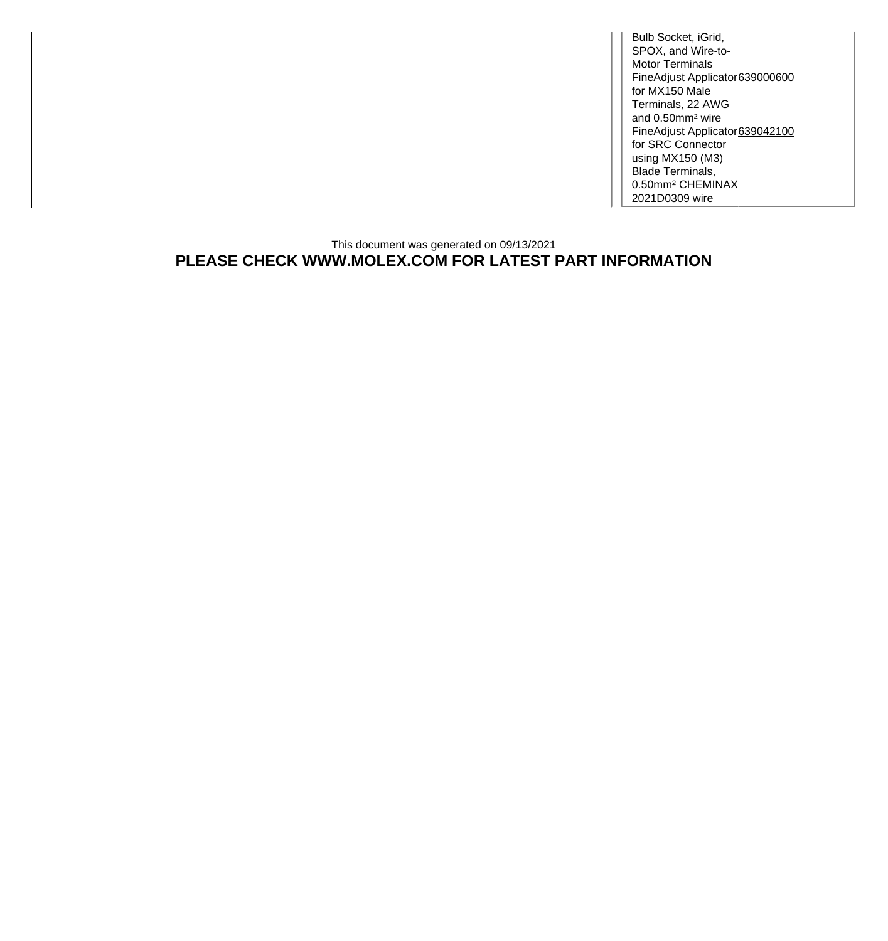Bulb Socket, iGrid, SPOX, and Wire-to-Motor Terminals FineAdjust Applicator [639000600](http://www.molex.com/molex/products/datasheet.jsp?part=active/0639000600_APPLICATION_TOOLIN.xml) for MX150 Male Terminals, 22 AWG and 0.50mm² wire FineAdjust Applicator for SRC Connector using MX150 (M3) Blade Terminals, 0.50mm² CHEMINAX 2021D0309 wire [639042100](http://www.molex.com/molex/products/datasheet.jsp?part=active/0639042100_APPLICATION_TOOLIN.xml)

## This document was generated on 09/13/2021 **PLEASE CHECK WWW.MOLEX.COM FOR LATEST PART INFORMATION**